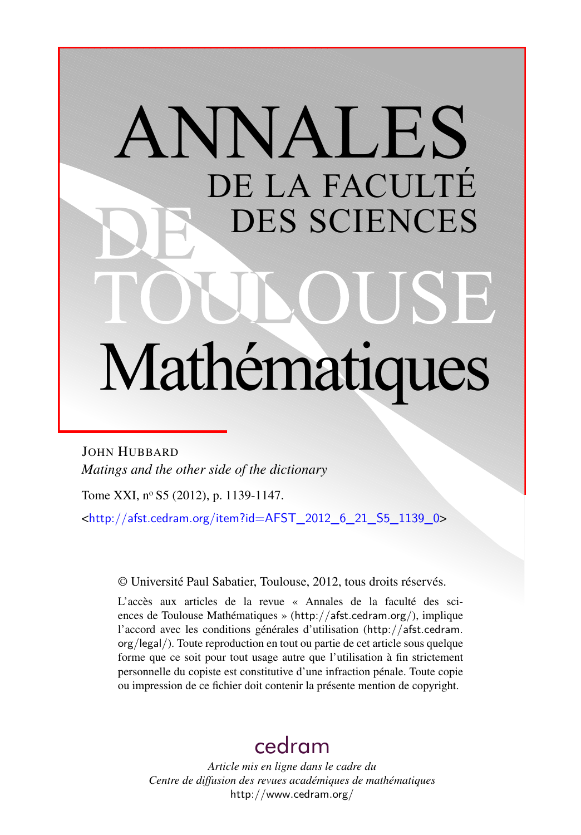# ANNALES DE LA FACULTÉ DES SCIENCES Mathématiques

JOHN HUBBARD *Matings and the other side of the dictionary*

Tome XXI, nº S5 (2012), p. 1139-1147.

<[http://afst.cedram.org/item?id=AFST\\_2012\\_6\\_21\\_S5\\_1139\\_0](http://afst.cedram.org/item?id=AFST_2012_6_21_S5_1139_0)>

© Université Paul Sabatier, Toulouse, 2012, tous droits réservés.

L'accès aux articles de la revue « Annales de la faculté des sciences de Toulouse Mathématiques » (<http://afst.cedram.org/>), implique l'accord avec les conditions générales d'utilisation ([http://afst.cedram.](http://afst.cedram.org/legal/) [org/legal/](http://afst.cedram.org/legal/)). Toute reproduction en tout ou partie de cet article sous quelque forme que ce soit pour tout usage autre que l'utilisation à fin strictement personnelle du copiste est constitutive d'une infraction pénale. Toute copie ou impression de ce fichier doit contenir la présente mention de copyright.

# [cedram](http://www.cedram.org/)

*Article mis en ligne dans le cadre du Centre de diffusion des revues académiques de mathématiques* <http://www.cedram.org/>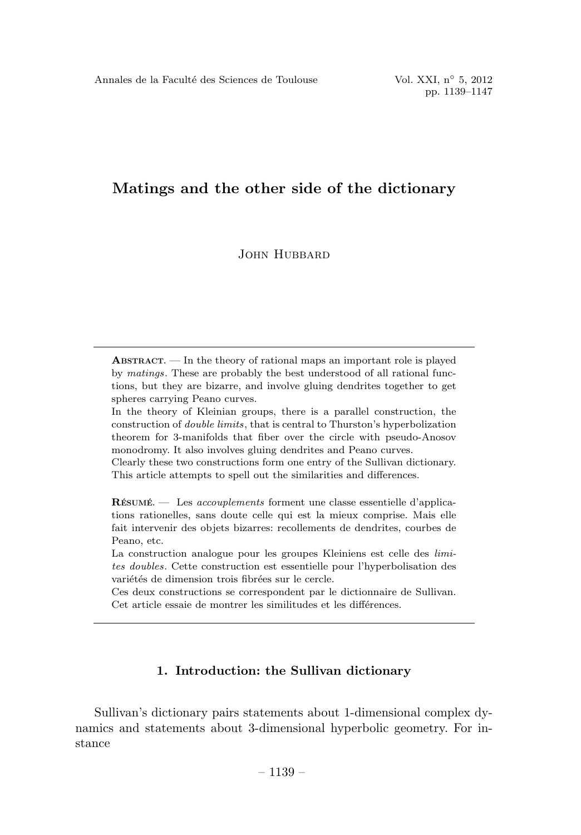JOHN HUBBARD

ABSTRACT. — In the theory of rational maps an important role is played by matings. These are probably the best understood of all rational functions, but they are bizarre, and involve gluing dendrites together to get spheres carrying Peano curves.

In the theory of Kleinian groups, there is a parallel construction, the construction of double limits, that is central to Thurston's hyperbolization theorem for 3-manifolds that fiber over the circle with pseudo-Anosov monodromy. It also involves gluing dendrites and Peano curves.

Clearly these two constructions form one entry of the Sullivan dictionary. This article attempts to spell out the similarities and differences.

RÉSUMÉ. — Les accouplements forment une classe essentielle d'applications rationelles, sans doute celle qui est la mieux comprise. Mais elle fait intervenir des objets bizarres: recollements de dendrites, courbes de Peano, etc.

La construction analogue pour les groupes Kleiniens est celle des *limi*tes doubles. Cette construction est essentielle pour l'hyperbolisation des variétés de dimension trois fibrées sur le cercle.

Ces deux constructions se correspondent par le dictionnaire de Sullivan. Cet article essaie de montrer les similitudes et les différences.

## 1. Introduction: the Sullivan dictionary

Sullivan's dictionary pairs statements about 1-dimensional complex dynamics and statements about 3-dimensional hyperbolic geometry. For instance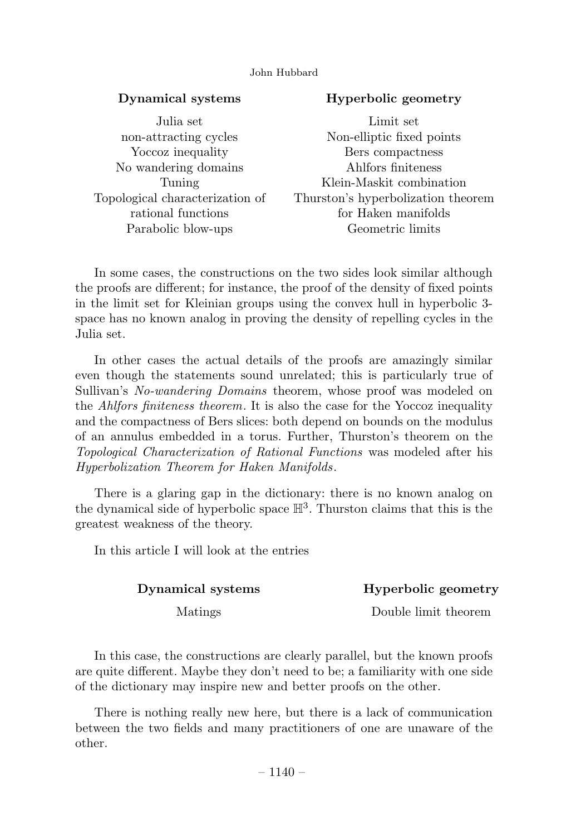# Dynamical systems

# Hyperbolic geometry

| Julia set                       | Limit set                          |
|---------------------------------|------------------------------------|
| non-attracting cycles           | Non-elliptic fixed points          |
| Yoccoz inequality               | Bers compactness                   |
| No wandering domains            | Ahlfors finiteness                 |
| Tuning                          | Klein-Maskit combination           |
| Topological characterization of | Thurston's hyperbolization theorem |
| rational functions              | for Haken manifolds                |
| Parabolic blow-ups              | Geometric limits                   |
|                                 |                                    |

In some cases, the constructions on the two sides look similar although the proofs are different; for instance, the proof of the density of fixed points in the limit set for Kleinian groups using the convex hull in hyperbolic 3 space has no known analog in proving the density of repelling cycles in the Julia set.

In other cases the actual details of the proofs are amazingly similar even though the statements sound unrelated; this is particularly true of Sullivan's No-wandering Domains theorem, whose proof was modeled on the *Ahlfors finiteness theorem*. It is also the case for the Yoccoz inequality and the compactness of Bers slices: both depend on bounds on the modulus of an annulus embedded in a torus. Further, Thurston's theorem on the Topological Characterization of Rational Functions was modeled after his Hyperbolization Theorem for Haken Manifolds.

There is a glaring gap in the dictionary: there is no known analog on the dynamical side of hyperbolic space  $\mathbb{H}^3$ . Thurston claims that this is the greatest weakness of the theory.

In this article I will look at the entries

# Dynamical systems

Hyperbolic geometry

Matings

Double limit theorem

In this case, the constructions are clearly parallel, but the known proofs are quite different. Maybe they don't need to be; a familiarity with one side of the dictionary may inspire new and better proofs on the other.

There is nothing really new here, but there is a lack of communication between the two fields and many practitioners of one are unaware of the other.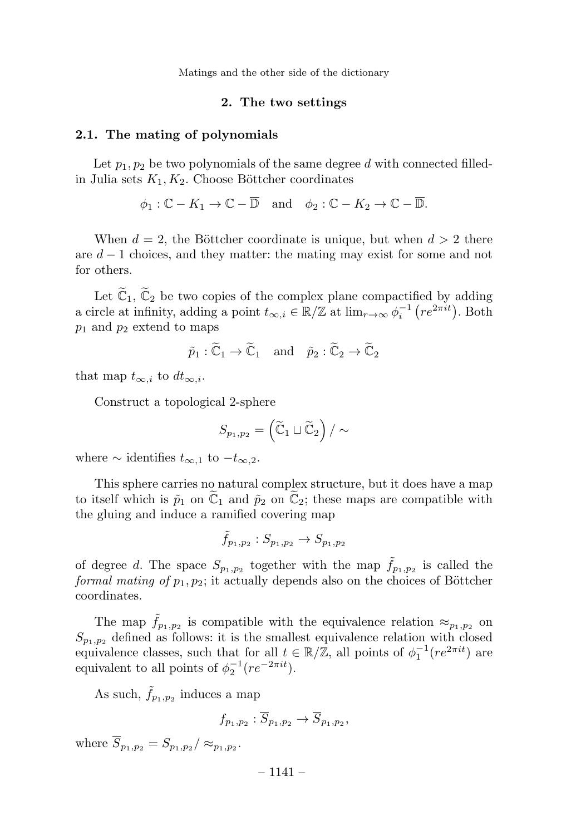#### 2. The two settings

#### 2.1. The mating of polynomials

Let  $p_1, p_2$  be two polynomials of the same degree d with connected filledin Julia sets  $K_1, K_2$ . Choose Böttcher coordinates

 $\phi_1 : \mathbb{C} - K_1 \to \mathbb{C} - \overline{\mathbb{D}}$  and  $\phi_2 : \mathbb{C} - K_2 \to \mathbb{C} - \overline{\mathbb{D}}$ .

When  $d = 2$ , the Böttcher coordinate is unique, but when  $d > 2$  there are  $d-1$  choices, and they matter: the mating may exist for some and not for others.

Let  $\mathbb{C}_1$ ,  $\mathbb{C}_2$  be two copies of the complex plane compactified by adding a circle at infinity, adding a point  $t_{\infty,i} \in \mathbb{R}/\mathbb{Z}$  at  $\lim_{r\to\infty} \phi_i^{-1} (re^{2\pi it})$ . Both  $p_1$  and  $p_2$  extend to maps

$$
\tilde{p}_1 : \tilde{C}_1 \to \tilde{C}_1
$$
 and  $\tilde{p}_2 : \tilde{C}_2 \to \tilde{C}_2$ 

that map  $t_{\infty,i}$  to  $dt_{\infty,i}$ .

Construct a topological 2-sphere

$$
S_{p_1,p_2} = \left(\widetilde{\mathbb{C}}_1 \sqcup \widetilde{\mathbb{C}}_2\right) / \sim
$$

where  $\sim$  identifies  $t_{\infty,1}$  to  $-t_{\infty,2}$ .

This sphere carries no natural complex structure, but it does have a map to itself which is  $\tilde{p}_1$  on  $\mathbb{C}_1$  and  $\tilde{p}_2$  on  $\mathbb{C}_2$ ; these maps are compatible with the gluing and induce a ramified covering map

$$
\tilde{f}_{p_1,p_2}: S_{p_1,p_2} \to S_{p_1,p_2}
$$

of degree d. The space  $S_{p_1,p_2}$  together with the map  $\tilde{f}_{p_1,p_2}$  is called the formal mating of  $p_1, p_2$ ; it actually depends also on the choices of Böttcher coordinates.

The map  $\hat{f}_{p_1,p_2}$  is compatible with the equivalence relation  $\approx_{p_1,p_2}$  on  $S_{p_1,p_2}$  defined as follows: it is the smallest equivalence relation with closed equivalence classes, such that for all  $t \in \mathbb{R}/\mathbb{Z}$ , all points of  $\phi_1^{-1}(re^{2\pi it})$  are equivalent to all points of  $\phi_2^{-1}(re^{-2\pi it})$ .

As such,  $\tilde{f}_{p_1,p_2}$  induces a map

$$
f_{p_1,p_2}: S_{p_1,p_2} \to S_{p_1,p_2},
$$

where  $\overline{S}_{p_1,p_2} = S_{p_1,p_2} / \approx_{p_1,p_2}$ .

 $-1141-$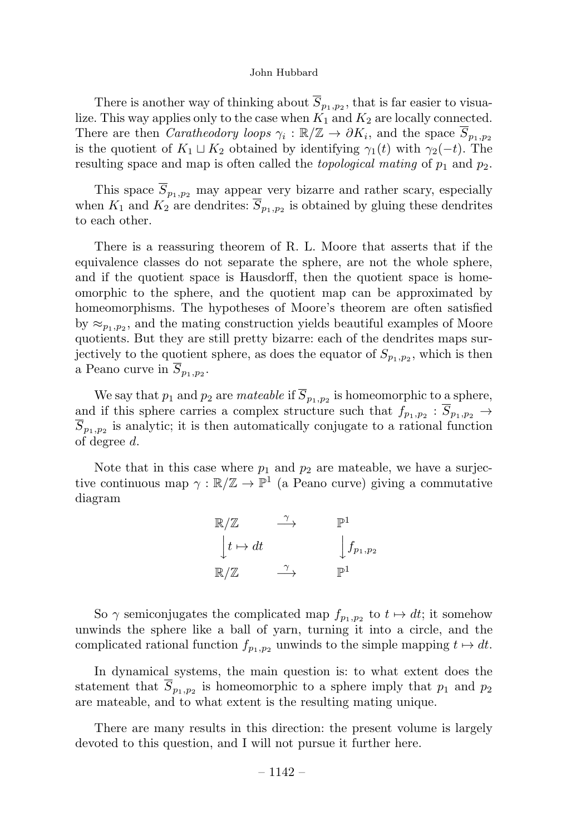There is another way of thinking about  $\overline{S}_{p_1,p_2}$ , that is far easier to visualize. This way applies only to the case when  $K_1$  and  $K_2$  are locally connected. There are then *Caratheodory loops*  $\gamma_i : \mathbb{R}/\mathbb{Z} \to \partial K_i$ , and the space  $\overline{S}_{p_1,p_2}$ is the quotient of  $K_1 \sqcup K_2$  obtained by identifying  $\gamma_1(t)$  with  $\gamma_2(-t)$ . The resulting space and map is often called the *topological mating* of  $p_1$  and  $p_2$ .

This space  $\overline{S}_{p_1,p_2}$  may appear very bizarre and rather scary, especially when  $K_1$  and  $K_2$  are dendrites:  $\overline{S}_{p_1,p_2}$  is obtained by gluing these dendrites to each other.

There is a reassuring theorem of R. L. Moore that asserts that if the equivalence classes do not separate the sphere, are not the whole sphere, and if the quotient space is Hausdorff, then the quotient space is homeomorphic to the sphere, and the quotient map can be approximated by homeomorphisms. The hypotheses of Moore's theorem are often satisfied by  $\approx_{p_1,p_2}$ , and the mating construction yields beautiful examples of Moore quotients. But they are still pretty bizarre: each of the dendrites maps surjectively to the quotient sphere, as does the equator of  $S_{p_1,p_2}$ , which is then a Peano curve in  $\overline{S}_{p_1,p_2}$ .

We say that  $p_1$  and  $p_2$  are *mateable* if  $\overline{S}_{p_1,p_2}$  is homeomorphic to a sphere, and if this sphere carries a complex structure such that  $f_{p_1,p_2} : \overline{S}_{p_1,p_2} \rightarrow$  $\overline{S}_{p_1,p_2}$  is analytic; it is then automatically conjugate to a rational function of degree d.

Note that in this case where  $p_1$  and  $p_2$  are mateable, we have a surjective continuous map  $\gamma : \mathbb{R}/\mathbb{Z} \to \mathbb{P}^1$  (a Peano curve) giving a commutative diagram

| $\mathbb{R}/\mathbb{Z}$ | $\mathbb{P}^1$     |
|-------------------------|--------------------|
| $\vert t \mapsto dt$    | $\int f_{p_1,p_2}$ |
| $\mathbb{R}/\mathbb{Z}$ | $\mathbb{P}^1$     |

So  $\gamma$  semiconjugates the complicated map  $f_{p_1,p_2}$  to  $t \mapsto dt$ ; it somehow unwinds the sphere like a ball of yarn, turning it into a circle, and the complicated rational function  $f_{p_1,p_2}$  unwinds to the simple mapping  $t \mapsto dt$ .

In dynamical systems, the main question is: to what extent does the statement that  $\overline{S}_{p_1,p_2}$  is homeomorphic to a sphere imply that  $p_1$  and  $p_2$ are mateable, and to what extent is the resulting mating unique.

There are many results in this direction: the present volume is largely devoted to this question, and I will not pursue it further here.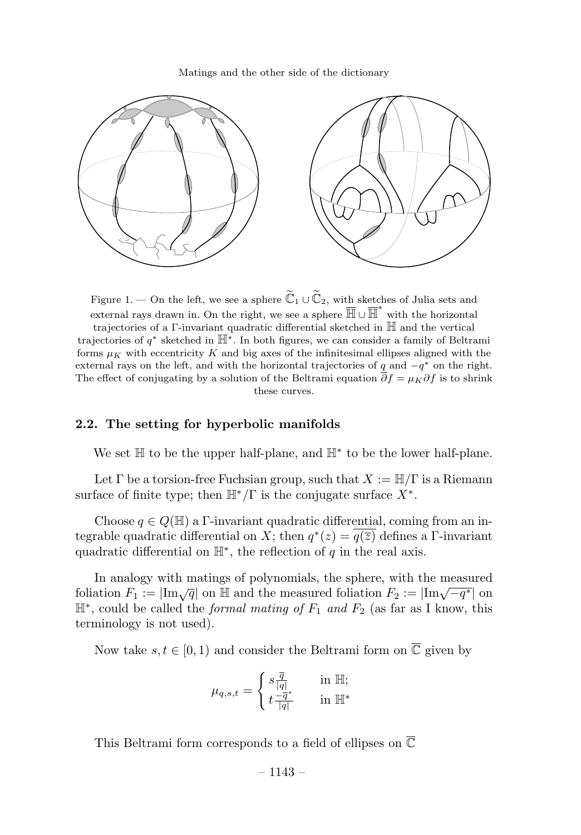

Figure 1. — On the left, we see a sphere  $\mathbb{C}_1 \cup \mathbb{C}_2$ , with sketches of Julia sets and external rays drawn in. On the right, we see a sphere  $\overline{\mathbb{H}} \cup \overline{\mathbb{H}}^*$  with the horizontal trajectories of a Γ-invariant quadratic differential sketched in H and the vertical trajectories of  $q^*$  sketched in  $\mathbb{H}^*$ . In both figures, we can consider a family of Beltrami forms  $\mu_K$  with eccentricity K and big axes of the infinitesimal ellipses aligned with the external rays on the left, and with the horizontal trajectories of q and  $-q^*$  on the right. The effect of conjugating by a solution of the Beltrami equation  $\overline{\partial} f = \mu_K \partial f$  is to shrink these curves.

#### 2.2. The setting for hyperbolic manifolds

We set  $\mathbb H$  to be the upper half-plane, and  $\mathbb H^*$  to be the lower half-plane.

Let  $\Gamma$  be a torsion-free Fuchsian group, such that  $X := \mathbb{H}/\Gamma$  is a Riemann surface of finite type; then  $\mathbb{H}^*/\Gamma$  is the conjugate surface  $X^*$ .

Choose  $q \in Q(\mathbb{H})$  a Γ-invariant quadratic differential, coming from an integrable quadratic differential on X; then  $q^*(z) = q(\overline{z})$  defines a Γ-invariant quadratic differential on  $\mathbb{H}^*$ , the reflection of q in the real axis.

In analogy with matings of polynomials, the sphere, with the measured foliation  $F_1 := |\text{Im}\sqrt{q}|$  on  $\mathbb{H}$  and the measured foliation  $F_2 := |\text{Im}\sqrt{-q^*}|$  on  $\mathbb{H}^*$ , could be called the *formal mating of*  $F_1$  and  $F_2$  (as far as I know, this terminology is not used).

Now take  $s, t \in [0, 1)$  and consider the Beltrami form on  $\overline{\mathbb{C}}$  given by

$$
\mu_{q,s,t} = \begin{cases} s \frac{\overline{q}}{|q|} & \text{in } \mathbb{H}; \\ t \frac{-\overline{q}^*}{|q|} & \text{in } \mathbb{H}^* \end{cases}
$$

This Beltrami form corresponds to a field of ellipses on  $\overline{\mathbb{C}}$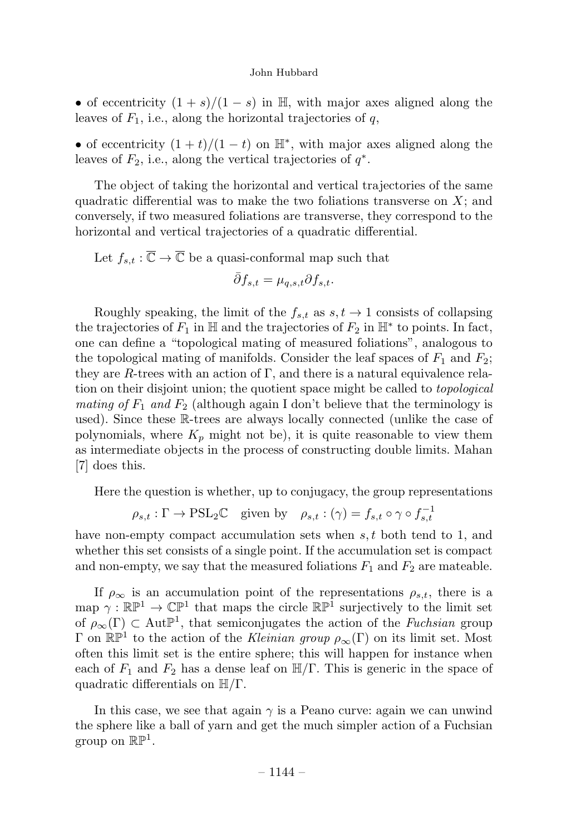• of eccentricity  $(1 + s)/(1 - s)$  in H, with major axes aligned along the leaves of  $F_1$ , i.e., along the horizontal trajectories of q,

• of eccentricity  $(1 + t)/(1 - t)$  on  $\mathbb{H}^*$ , with major axes aligned along the leaves of  $F_2$ , i.e., along the vertical trajectories of  $q^*$ .

The object of taking the horizontal and vertical trajectories of the same quadratic differential was to make the two foliations transverse on  $X$ ; and conversely, if two measured foliations are transverse, they correspond to the horizontal and vertical trajectories of a quadratic differential.

Let  $f_{s,t} : \overline{\mathbb{C}} \to \overline{\mathbb{C}}$  be a quasi-conformal map such that

$$
\bar{\partial}f_{s,t} = \mu_{q,s,t} \partial f_{s,t}.
$$

Roughly speaking, the limit of the  $f_{s,t}$  as  $s, t \to 1$  consists of collapsing the trajectories of  $F_1$  in H and the trajectories of  $F_2$  in H<sup>\*</sup> to points. In fact, one can define a "topological mating of measured foliations", analogous to the topological mating of manifolds. Consider the leaf spaces of  $F_1$  and  $F_2$ ; they are R-trees with an action of  $\Gamma$ , and there is a natural equivalence relation on their disjoint union; the quotient space might be called to *topological* mating of  $F_1$  and  $F_2$  (although again I don't believe that the terminology is used). Since these R-trees are always locally connected (unlike the case of polynomials, where  $K_p$  might not be), it is quite reasonable to view them as intermediate objects in the process of constructing double limits. Mahan [7] does this.

Here the question is whether, up to conjugacy, the group representations

$$
\rho_{s,t} : \Gamma \to \mathrm{PSL}_2\mathbb{C} \quad \text{given by} \quad \rho_{s,t} : (\gamma) = f_{s,t} \circ \gamma \circ f_{s,t}^{-1}
$$

have non-empty compact accumulation sets when  $s, t$  both tend to 1, and whether this set consists of a single point. If the accumulation set is compact and non-empty, we say that the measured foliations  $F_1$  and  $F_2$  are mateable.

If  $\rho_{\infty}$  is an accumulation point of the representations  $\rho_{s,t}$ , there is a map  $\gamma : \mathbb{RP}^1 \to \mathbb{CP}^1$  that maps the circle  $\mathbb{RP}^1$  surjectively to the limit set of  $\rho_{\infty}(\Gamma) \subset \text{Aut}\mathbb{P}^1$ , that semiconjugates the action of the *Fuchsian* group Γ on  $\mathbb{RP}^1$  to the action of the *Kleinian group*  $\rho_{\infty}(\Gamma)$  on its limit set. Most often this limit set is the entire sphere; this will happen for instance when each of  $F_1$  and  $F_2$  has a dense leaf on  $\mathbb{H}/\Gamma$ . This is generic in the space of quadratic differentials on  $\mathbb{H}/\Gamma$ .

In this case, we see that again  $\gamma$  is a Peano curve: again we can unwind the sphere like a ball of yarn and get the much simpler action of a Fuchsian group on  $\mathbb{RP}^1$ .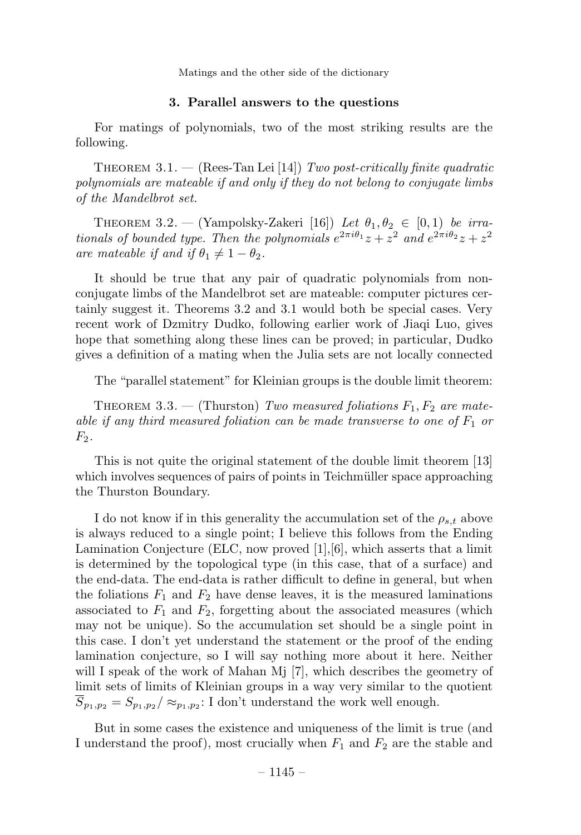#### 3. Parallel answers to the questions

For matings of polynomials, two of the most striking results are the following.

THEOREM 3.1.  $-$  (Rees-Tan Lei [14]) Two post-critically finite quadratic polynomials are mateable if and only if they do not belong to conjugate limbs of the Mandelbrot set.

THEOREM 3.2. — (Yampolsky-Zakeri [16]) Let  $\theta_1, \theta_2 \in [0, 1)$  be irrationals of bounded type. Then the polynomials  $e^{2\pi i\theta_1}z + z^2$  and  $e^{2\pi i\theta_2}z + z^2$ are mateable if and if  $\theta_1 \neq 1 - \theta_2$ .

It should be true that any pair of quadratic polynomials from nonconjugate limbs of the Mandelbrot set are mateable: computer pictures certainly suggest it. Theorems 3.2 and 3.1 would both be special cases. Very recent work of Dzmitry Dudko, following earlier work of Jiaqi Luo, gives hope that something along these lines can be proved; in particular, Dudko gives a definition of a mating when the Julia sets are not locally connected

The "parallel statement" for Kleinian groups is the double limit theorem:

THEOREM 3.3. — (Thurston) Two measured foliations  $F_1, F_2$  are mateable if any third measured foliation can be made transverse to one of  $F_1$  or  $F_2$ .

This is not quite the original statement of the double limit theorem [13] which involves sequences of pairs of points in Teichmüller space approaching the Thurston Boundary.

I do not know if in this generality the accumulation set of the  $\rho_{s,t}$  above is always reduced to a single point; I believe this follows from the Ending Lamination Conjecture (ELC, now proved [1],[6], which asserts that a limit is determined by the topological type (in this case, that of a surface) and the end-data. The end-data is rather difficult to define in general, but when the foliations  $F_1$  and  $F_2$  have dense leaves, it is the measured laminations associated to  $F_1$  and  $F_2$ , forgetting about the associated measures (which may not be unique). So the accumulation set should be a single point in this case. I don't yet understand the statement or the proof of the ending lamination conjecture, so I will say nothing more about it here. Neither will I speak of the work of Mahan Mj [7], which describes the geometry of limit sets of limits of Kleinian groups in a way very similar to the quotient  $\overline{S}_{p_1,p_2} = S_{p_1,p_2} / \approx_{p_1,p_2} 1$  don't understand the work well enough.

But in some cases the existence and uniqueness of the limit is true (and I understand the proof), most crucially when  $F_1$  and  $F_2$  are the stable and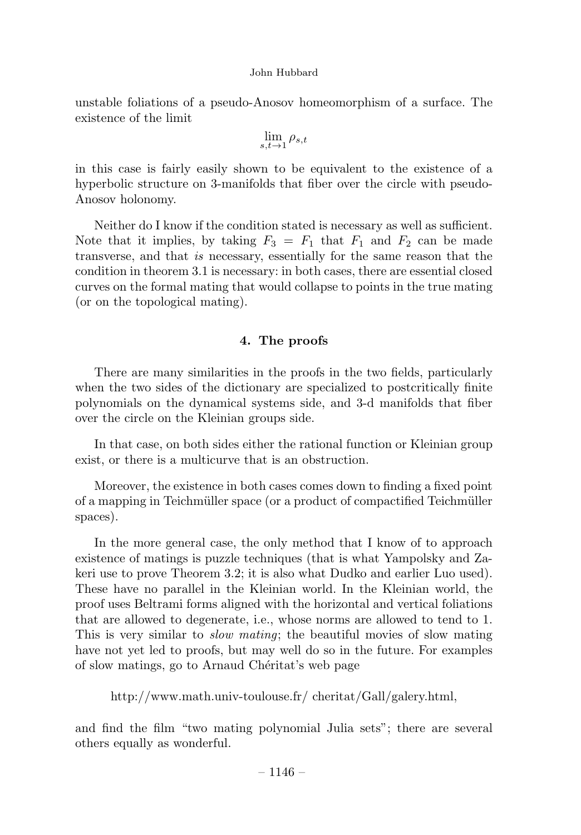unstable foliations of a pseudo-Anosov homeomorphism of a surface. The existence of the limit

$$
\lim_{s,t\to 1}\rho_{s,t}
$$

in this case is fairly easily shown to be equivalent to the existence of a hyperbolic structure on 3-manifolds that fiber over the circle with pseudo-Anosov holonomy.

Neither do I know if the condition stated is necessary as well as sufficient. Note that it implies, by taking  $F_3 = F_1$  that  $F_1$  and  $F_2$  can be made transverse, and that is necessary, essentially for the same reason that the condition in theorem 3.1 is necessary: in both cases, there are essential closed curves on the formal mating that would collapse to points in the true mating (or on the topological mating).

## 4. The proofs

There are many similarities in the proofs in the two fields, particularly when the two sides of the dictionary are specialized to postcritically finite polynomials on the dynamical systems side, and 3-d manifolds that fiber over the circle on the Kleinian groups side.

In that case, on both sides either the rational function or Kleinian group exist, or there is a multicurve that is an obstruction.

Moreover, the existence in both cases comes down to finding a fixed point of a mapping in Teichmüller space (or a product of compactified Teichmüller spaces).

In the more general case, the only method that I know of to approach existence of matings is puzzle techniques (that is what Yampolsky and Zakeri use to prove Theorem 3.2; it is also what Dudko and earlier Luo used). These have no parallel in the Kleinian world. In the Kleinian world, the proof uses Beltrami forms aligned with the horizontal and vertical foliations that are allowed to degenerate, i.e., whose norms are allowed to tend to 1. This is very similar to slow mating; the beautiful movies of slow mating have not yet led to proofs, but may well do so in the future. For examples of slow matings, go to Arnaud Chéritat's web page

http://www.math.univ-toulouse.fr/ cheritat/Gall/galery.html,

and find the film "two mating polynomial Julia sets"; there are several others equally as wonderful.